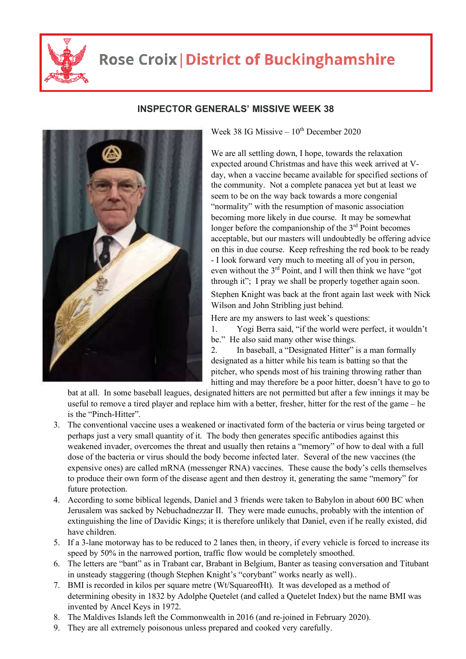

## **Rose Croix | District of Buckinghamshire**



## **INSPECTOR GENERALS' MISSIVE WEEK 38**

Week 38 IG Missive  $-10^{th}$  December 2020

We are all settling down, I hope, towards the relaxation expected around Christmas and have this week arrived at Vday, when a vaccine became available for specified sections of the community. Not a complete panacea yet but at least we seem to be on the way back towards a more congenial "normality" with the resumption of masonic association becoming more likely in due course. It may be somewhat longer before the companionship of the  $3<sup>rd</sup>$  Point becomes acceptable, but our masters will undoubtedly be offering advice on this in due course. Keep refreshing the red book to be ready - I look forward very much to meeting all of you in person, even without the 3<sup>rd</sup> Point, and I will then think we have "got through it"; I pray we shall be properly together again soon.

Stephen Knight was back at the front again last week with Nick Wilson and John Stribling just behind.

Here are my answers to last week's questions:

1. Yogi Berra said, "if the world were perfect, it wouldn't be." He also said many other wise things.

2. In baseball, a "Designated Hitter" is a man formally designated as a hitter while his team is batting so that the pitcher, who spends most of his training throwing rather than hitting and may therefore be a poor hitter, doesn't have to go to

bat at all. In some baseball leagues, designated hitters are not permitted but after a few innings it may be useful to remove a tired player and replace him with a better, fresher, hitter for the rest of the game – he is the "Pinch-Hitter".

- 3. The conventional vaccine uses a weakened or inactivated form of the bacteria or virus being targeted or perhaps just a very small quantity of it. The body then generates specific antibodies against this weakened invader, overcomes the threat and usually then retains a "memory" of how to deal with a full dose of the bacteria or virus should the body become infected later. Several of the new vaccines (the expensive ones) are called mRNA (messenger RNA) vaccines. These cause the body's cells themselves to produce their own form of the disease agent and then destroy it, generating the same "memory" for future protection.
- 4. According to some biblical legends, Daniel and 3 friends were taken to Babylon in about 600 BC when Jerusalem was sacked by Nebuchadnezzar II. They were made eunuchs, probably with the intention of extinguishing the line of Davidic Kings; it is therefore unlikely that Daniel, even if he really existed, did have children.
- 5. If a 3-lane motorway has to be reduced to 2 lanes then, in theory, if every vehicle is forced to increase its speed by 50% in the narrowed portion, traffic flow would be completely smoothed.
- 6. The letters are "bant" as in Trabant car, Brabant in Belgium, Banter as teasing conversation and Titubant in unsteady staggering (though Stephen Knight's "corybant" works nearly as well)..
- 7. BMI is recorded in kilos per square metre (Wt/SquareofHt). It was developed as a method of determining obesity in 1832 by Adolphe Quetelet (and called a Quetelet Index) but the name BMI was invented by Ancel Keys in 1972.
- 8. The Maldives Islands left the Commonwealth in 2016 (and re-joined in February 2020).
- 9. They are all extremely poisonous unless prepared and cooked very carefully.